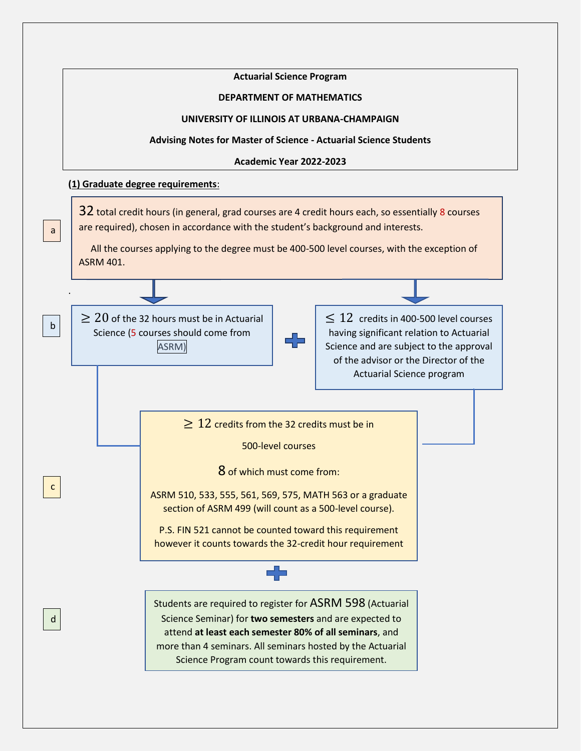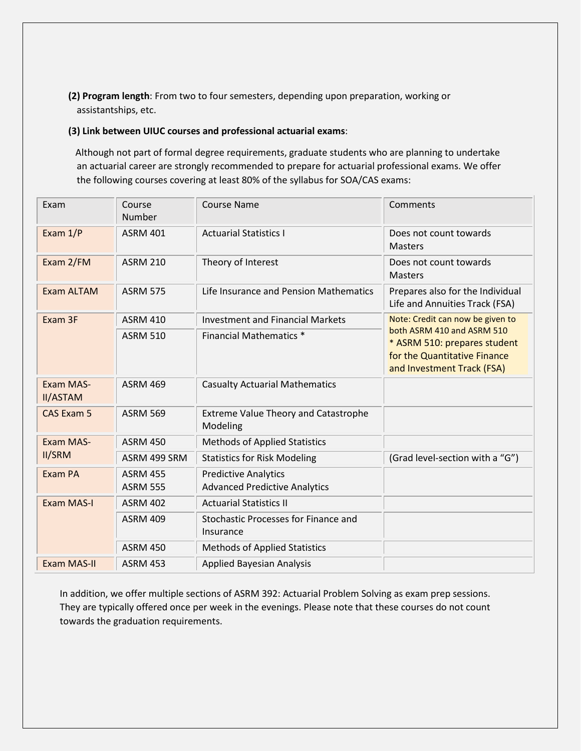**(2) Program length**: From two to four semesters, depending upon preparation, working or assistantships, etc.

#### **(3) Link between UIUC courses and professional actuarial exams**:

 Although not part of formal degree requirements, graduate students who are planning to undertake an actuarial career are strongly recommended to prepare for actuarial professional exams. We offer the following courses covering at least 80% of the syllabus for SOA/CAS exams:

| Exam                         | Course<br>Number                   | <b>Course Name</b>                                                  | Comments                                                                                                                                                     |  |
|------------------------------|------------------------------------|---------------------------------------------------------------------|--------------------------------------------------------------------------------------------------------------------------------------------------------------|--|
| Exam 1/P                     | <b>ASRM 401</b>                    | <b>Actuarial Statistics I</b>                                       | Does not count towards<br><b>Masters</b>                                                                                                                     |  |
| Exam 2/FM                    | <b>ASRM 210</b>                    | Theory of Interest                                                  | Does not count towards<br><b>Masters</b>                                                                                                                     |  |
| Exam ALTAM                   | <b>ASRM 575</b>                    | Life Insurance and Pension Mathematics                              | Prepares also for the Individual<br>Life and Annuities Track (FSA)                                                                                           |  |
| Exam 3F                      | <b>ASRM 410</b>                    | <b>Investment and Financial Markets</b>                             | Note: Credit can now be given to<br>both ASRM 410 and ASRM 510<br>* ASRM 510: prepares student<br>for the Quantitative Finance<br>and Investment Track (FSA) |  |
|                              | <b>ASRM 510</b>                    | <b>Financial Mathematics *</b>                                      |                                                                                                                                                              |  |
| Exam MAS-<br><b>II/ASTAM</b> | <b>ASRM 469</b>                    | <b>Casualty Actuarial Mathematics</b>                               |                                                                                                                                                              |  |
| <b>CAS Exam 5</b>            | <b>ASRM 569</b>                    | <b>Extreme Value Theory and Catastrophe</b><br>Modeling             |                                                                                                                                                              |  |
| Exam MAS-<br><b>II/SRM</b>   | <b>ASRM 450</b>                    | <b>Methods of Applied Statistics</b>                                |                                                                                                                                                              |  |
|                              | ASRM 499 SRM                       | <b>Statistics for Risk Modeling</b>                                 | (Grad level-section with a "G")                                                                                                                              |  |
| Exam PA                      | <b>ASRM 455</b><br><b>ASRM 555</b> | <b>Predictive Analytics</b><br><b>Advanced Predictive Analytics</b> |                                                                                                                                                              |  |
| <b>Exam MAS-I</b>            | <b>ASRM 402</b>                    | <b>Actuarial Statistics II</b>                                      |                                                                                                                                                              |  |
|                              | <b>ASRM 409</b>                    | Stochastic Processes for Finance and<br>Insurance                   |                                                                                                                                                              |  |
|                              | <b>ASRM 450</b>                    | <b>Methods of Applied Statistics</b>                                |                                                                                                                                                              |  |
| <b>Exam MAS-II</b>           | <b>ASRM 453</b>                    | <b>Applied Bayesian Analysis</b>                                    |                                                                                                                                                              |  |

In addition, we offer multiple sections of ASRM 392: Actuarial Problem Solving as exam prep sessions. They are typically offered once per week in the evenings. Please note that these courses do not count towards the graduation requirements.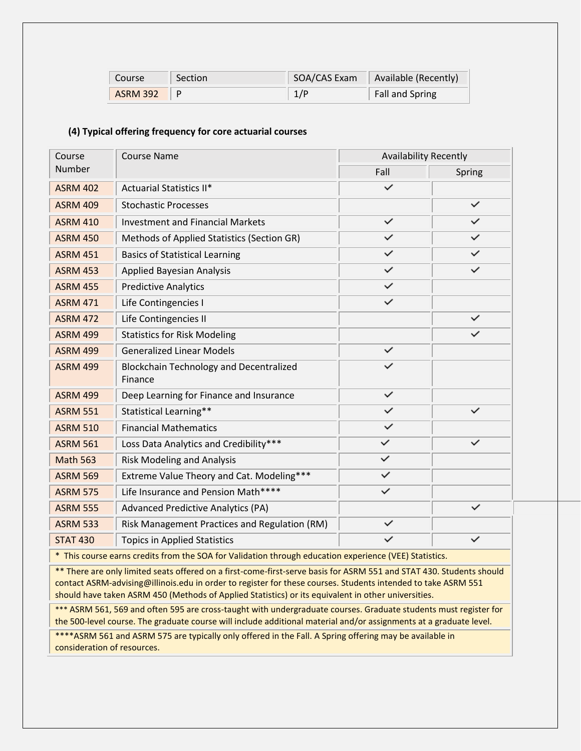| Course   | Section | SOA/CAS Exam | Available (Recently) |
|----------|---------|--------------|----------------------|
| ASRM 392 |         | 1/P          | Fall and Spring      |

## **(4) Typical offering frequency for core actuarial courses**

| Course          | <b>Course Name</b>                                        | <b>Availability Recently</b> |              |  |
|-----------------|-----------------------------------------------------------|------------------------------|--------------|--|
| <b>Number</b>   |                                                           | Fall                         | Spring       |  |
| <b>ASRM 402</b> | <b>Actuarial Statistics II*</b>                           | $\checkmark$                 |              |  |
| <b>ASRM 409</b> | <b>Stochastic Processes</b>                               |                              | $\checkmark$ |  |
| <b>ASRM 410</b> | <b>Investment and Financial Markets</b>                   | $\checkmark$                 | $\checkmark$ |  |
| <b>ASRM 450</b> | Methods of Applied Statistics (Section GR)                | $\checkmark$                 | $\checkmark$ |  |
| <b>ASRM 451</b> | <b>Basics of Statistical Learning</b>                     | $\checkmark$                 | $\checkmark$ |  |
| <b>ASRM 453</b> | <b>Applied Bayesian Analysis</b>                          | $\checkmark$                 | $\checkmark$ |  |
| <b>ASRM 455</b> | <b>Predictive Analytics</b>                               | $\checkmark$                 |              |  |
| <b>ASRM 471</b> | Life Contingencies I                                      | $\checkmark$                 |              |  |
| <b>ASRM 472</b> | Life Contingencies II                                     |                              | $\checkmark$ |  |
| <b>ASRM 499</b> | <b>Statistics for Risk Modeling</b>                       |                              |              |  |
| <b>ASRM 499</b> | <b>Generalized Linear Models</b>                          | $\checkmark$                 |              |  |
| <b>ASRM 499</b> | <b>Blockchain Technology and Decentralized</b><br>Finance | $\checkmark$                 |              |  |
| <b>ASRM 499</b> | Deep Learning for Finance and Insurance                   | $\checkmark$                 |              |  |
| <b>ASRM 551</b> | Statistical Learning**                                    | ✓                            |              |  |
| <b>ASRM 510</b> | <b>Financial Mathematics</b>                              | $\checkmark$                 |              |  |
| <b>ASRM 561</b> | Loss Data Analytics and Credibility***                    | $\checkmark$                 |              |  |
| <b>Math 563</b> | <b>Risk Modeling and Analysis</b>                         | $\checkmark$                 |              |  |
| <b>ASRM 569</b> | Extreme Value Theory and Cat. Modeling***                 | $\checkmark$                 |              |  |
| <b>ASRM 575</b> | Life Insurance and Pension Math****                       | $\checkmark$                 |              |  |
| <b>ASRM 555</b> | <b>Advanced Predictive Analytics (PA)</b>                 |                              |              |  |
| <b>ASRM 533</b> | Risk Management Practices and Regulation (RM)             | $\checkmark$                 |              |  |
| <b>STAT 430</b> | <b>Topics in Applied Statistics</b>                       | ✓                            |              |  |

\* This course earns credits from the SOA for Validation through education experience (VEE) Statistics.

\*\* There are only limited seats offered on a first-come-first-serve basis for ASRM 551 and STAT 430. Students should contact ASRM-advising@illinois.edu in order to register for these courses. Students intended to take ASRM 551 should have taken ASRM 450 (Methods of Applied Statistics) or its equivalent in other universities.

\*\*\* ASRM 561, 569 and often 595 are cross-taught with undergraduate courses. Graduate students must register for the 500-level course. The graduate course will include additional material and/or assignments at a graduate level.

\*\*\*\*ASRM 561 and ASRM 575 are typically only offered in the Fall. A Spring offering may be available in consideration of resources.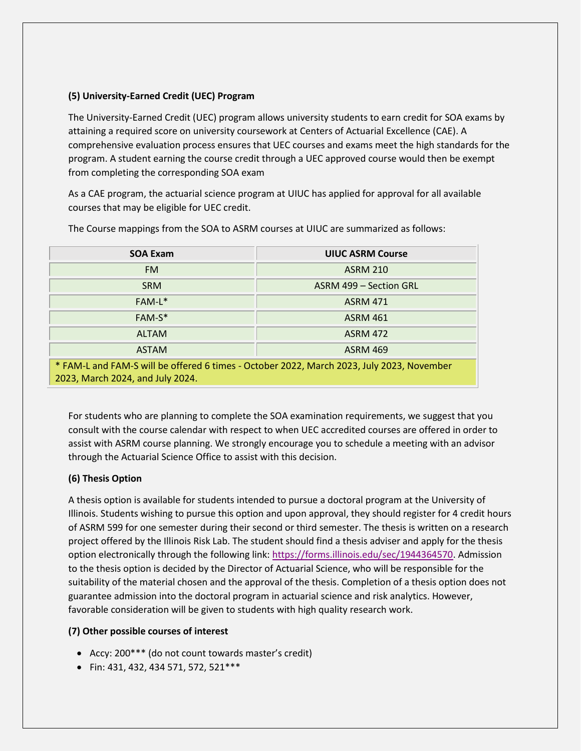## **(5) University-Earned Credit (UEC) Program**

The University-Earned Credit (UEC) program allows university students to earn credit for SOA exams by attaining a required score on university coursework at Centers of Actuarial Excellence (CAE). A comprehensive evaluation process ensures that UEC courses and exams meet the high standards for the program. A student earning the course credit through a UEC approved course would then be exempt from completing the corresponding SOA exam

As a CAE program, the actuarial science program at UIUC has applied for approval for all available courses that may be eligible for UEC credit.

| <b>SOA Exam</b>                                                                                                               | <b>UIUC ASRM Course</b> |  |  |
|-------------------------------------------------------------------------------------------------------------------------------|-------------------------|--|--|
| FM.                                                                                                                           | <b>ASRM 210</b>         |  |  |
| <b>SRM</b>                                                                                                                    | ASRM 499 - Section GRL  |  |  |
| $FAM-L^*$                                                                                                                     | <b>ASRM 471</b>         |  |  |
| FAM-S*                                                                                                                        | <b>ASRM 461</b>         |  |  |
| <b>ALTAM</b>                                                                                                                  | <b>ASRM 472</b>         |  |  |
| <b>ASTAM</b>                                                                                                                  | <b>ASRM 469</b>         |  |  |
| * FAM-L and FAM-S will be offered 6 times - October 2022, March 2023, July 2023, November<br>2023, March 2024, and July 2024. |                         |  |  |

The Course mappings from the SOA to ASRM courses at UIUC are summarized as follows:

For students who are planning to complete the SOA examination requirements, we suggest that you consult with the course calendar with respect to when UEC accredited courses are offered in order to assist with ASRM course planning. We strongly encourage you to schedule a meeting with an advisor through the Actuarial Science Office to assist with this decision.

### **(6) Thesis Option**

A thesis option is available for students intended to pursue a doctoral program at the University of Illinois. Students wishing to pursue this option and upon approval, they should register for 4 credit hours of ASRM 599 for one semester during their second or third semester. The thesis is written on a research project offered by the Illinois Risk Lab. The student should find a thesis adviser and apply for the thesis option electronically through the following link: [https://forms.illinois.edu/sec/1944364570.](https://forms.illinois.edu/sec/1944364570) Admission to the thesis option is decided by the Director of Actuarial Science, who will be responsible for the suitability of the material chosen and the approval of the thesis. Completion of a thesis option does not guarantee admission into the doctoral program in actuarial science and risk analytics. However, favorable consideration will be given to students with high quality research work.

# **(7) Other possible courses of interest**

- Accy: 200\*\*\* (do not count towards master's credit)
- Fin: 431, 432, 434 571, 572, 521\*\*\*